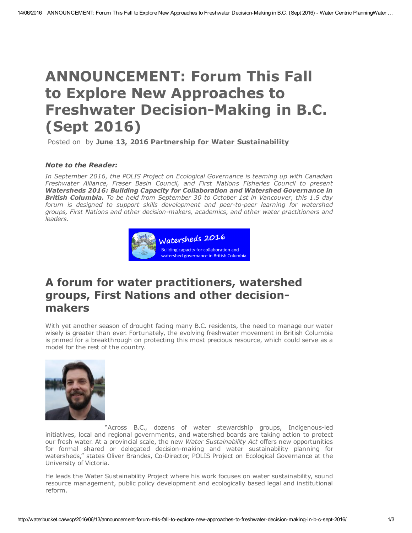# ANNOUNCEMENT: Forum This Fall to Explore New Approaches to Freshwater Decision-Making in B.C. (Sept 2016)

Posted on by June 13, [2016](http://waterbucket.ca/wcp/2016/06/13/announcement-forum-this-fall-to-explore-new-approaches-to-freshwater-decision-making-in-b-c-sept-2016/) Partnership for Water [Sustainability](http://waterbucket.ca/wcp/author/kstephens/)

#### *Note to the Reader:*

*In September 2016, the POLIS Project on Ecological Governance is teaming up with Canadian Freshwater Alliance, Fraser Basin Council, and First Nations Fisheries Council to present Watersheds 2016: Building Capacity for Collaboration and Watershed Governance in British Columbia. To be held from September 30 to October 1st in Vancouver, this 1.5 day forum is designed to support skills development and peertopeer learning for watershed groups, First Nations and other decisionmakers, academics, and other water practitioners and leaders.*



# A forum for water practitioners, watershed groups, First Nations and other decisionmakers

With yet another season of drought facing many B.C. residents, the need to manage our water wisely is greater than ever. Fortunately, the evolving freshwater movement in British Columbia is primed for a breakthrough on protecting this most precious resource, which could serve as a model for the rest of the country.



"Across B.C., dozens of water stewardship groups, Indigenous-led initiatives, local and regional governments, and watershed boards are taking action to protect our fresh water. At a provincial scale, the new *Water Sustainability Act* offers new opportunities for formal shared or delegated decision-making and water sustainability planning for watersheds," states Oliver Brandes, Co-Director, POLIS Project on Ecological Governance at the University of Victoria.

He leads the Water Sustainability Project where his work focuses on water sustainability, sound resource management, public policy development and ecologically based legal and institutional reform.